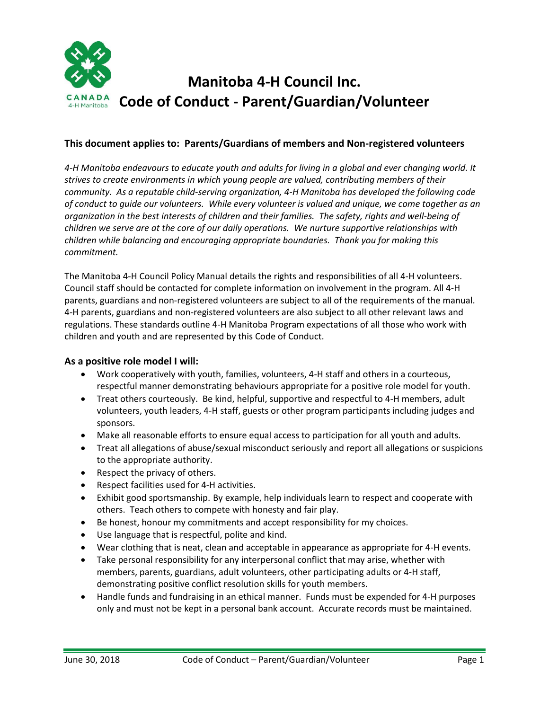

## **This document applies to: Parents/Guardians of members and Non-registered volunteers**

*4-H Manitoba endeavours to educate youth and adults for living in a global and ever changing world. It strives to create environments in which young people are valued, contributing members of their community. As a reputable child-serving organization, 4-H Manitoba has developed the following code of conduct to guide our volunteers. While every volunteer is valued and unique, we come together as an organization in the best interests of children and their families. The safety, rights and well-being of children we serve are at the core of our daily operations. We nurture supportive relationships with children while balancing and encouraging appropriate boundaries. Thank you for making this commitment.*

The Manitoba 4-H Council Policy Manual details the rights and responsibilities of all 4-H volunteers. Council staff should be contacted for complete information on involvement in the program. All 4-H parents, guardians and non-registered volunteers are subject to all of the requirements of the manual. 4-H parents, guardians and non-registered volunteers are also subject to all other relevant laws and regulations. These standards outline 4-H Manitoba Program expectations of all those who work with children and youth and are represented by this Code of Conduct.

### **As a positive role model I will:**

- Work cooperatively with youth, families, volunteers, 4-H staff and others in a courteous, respectful manner demonstrating behaviours appropriate for a positive role model for youth.
- Treat others courteously. Be kind, helpful, supportive and respectful to 4-H members, adult volunteers, youth leaders, 4-H staff, guests or other program participants including judges and sponsors.
- Make all reasonable efforts to ensure equal access to participation for all youth and adults.
- Treat all allegations of abuse/sexual misconduct seriously and report all allegations or suspicions to the appropriate authority.
- Respect the privacy of others.
- Respect facilities used for 4-H activities.
- Exhibit good sportsmanship. By example, help individuals learn to respect and cooperate with others. Teach others to compete with honesty and fair play.
- Be honest, honour my commitments and accept responsibility for my choices.
- Use language that is respectful, polite and kind.
- Wear clothing that is neat, clean and acceptable in appearance as appropriate for 4-H events.
- Take personal responsibility for any interpersonal conflict that may arise, whether with members, parents, guardians, adult volunteers, other participating adults or 4-H staff, demonstrating positive conflict resolution skills for youth members.
- Handle funds and fundraising in an ethical manner. Funds must be expended for 4-H purposes only and must not be kept in a personal bank account. Accurate records must be maintained.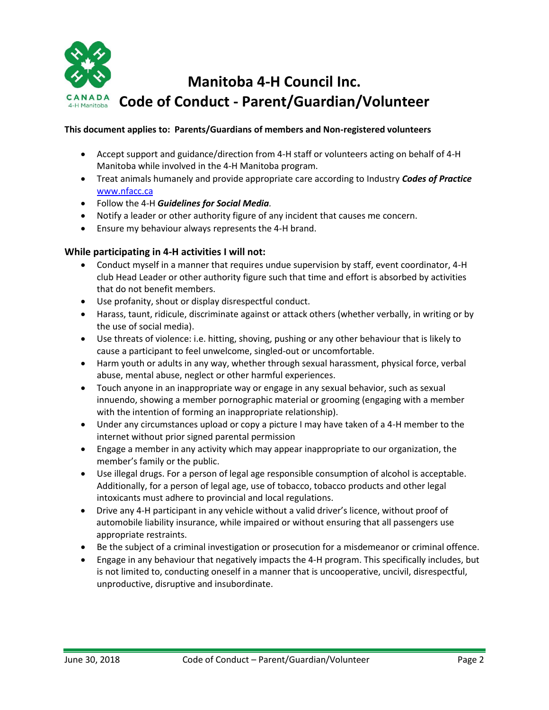

#### **This document applies to: Parents/Guardians of members and Non-registered volunteers**

- Accept support and guidance/direction from 4-H staff or volunteers acting on behalf of 4-H Manitoba while involved in the 4-H Manitoba program.
- Treat animals humanely and provide appropriate care according to Industry *Codes of Practice* [www.nfacc.ca](file://///4hserver/Shared/Clayton/Desktop/Committees%20(see%20events%20also)/Risk%20Mgmt%20YPP/Codes%20of%20Conduct/www.nfacc.ca%20)
- Follow the 4-H *Guidelines for Social Media.*
- Notify a leader or other authority figure of any incident that causes me concern.
- Ensure my behaviour always represents the 4-H brand.

#### **While participating in 4-H activities I will not:**

- Conduct myself in a manner that requires undue supervision by staff, event coordinator, 4-H club Head Leader or other authority figure such that time and effort is absorbed by activities that do not benefit members.
- Use profanity, shout or display disrespectful conduct.
- Harass, taunt, ridicule, discriminate against or attack others (whether verbally, in writing or by the use of social media).
- Use threats of violence: i.e. hitting, shoving, pushing or any other behaviour that is likely to cause a participant to feel unwelcome, singled-out or uncomfortable.
- Harm youth or adults in any way, whether through sexual harassment, physical force, verbal abuse, mental abuse, neglect or other harmful experiences.
- Touch anyone in an inappropriate way or engage in any sexual behavior, such as sexual innuendo, showing a member pornographic material or grooming (engaging with a member with the intention of forming an inappropriate relationship).
- Under any circumstances upload or copy a picture I may have taken of a 4-H member to the internet without prior signed parental permission
- Engage a member in any activity which may appear inappropriate to our organization, the member's family or the public.
- Use illegal drugs. For a person of legal age responsible consumption of alcohol is acceptable. Additionally, for a person of legal age, use of tobacco, tobacco products and other legal intoxicants must adhere to provincial and local regulations.
- Drive any 4-H participant in any vehicle without a valid driver's licence, without proof of automobile liability insurance, while impaired or without ensuring that all passengers use appropriate restraints.
- Be the subject of a criminal investigation or prosecution for a misdemeanor or criminal offence.
- Engage in any behaviour that negatively impacts the 4-H program. This specifically includes, but is not limited to, conducting oneself in a manner that is uncooperative, uncivil, disrespectful, unproductive, disruptive and insubordinate.